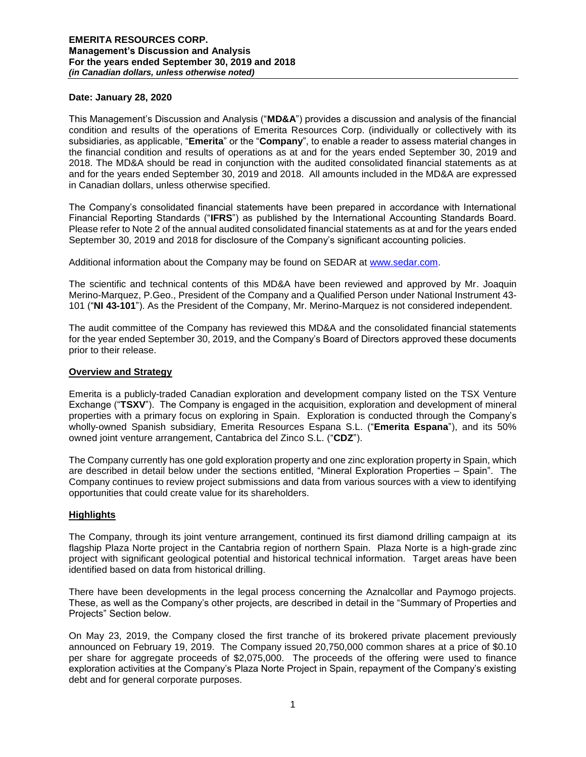### **Date: January 28, 2020**

This Management's Discussion and Analysis ("**MD&A**") provides a discussion and analysis of the financial condition and results of the operations of Emerita Resources Corp. (individually or collectively with its subsidiaries, as applicable, "**Emerita**" or the "**Company**", to enable a reader to assess material changes in the financial condition and results of operations as at and for the years ended September 30, 2019 and 2018. The MD&A should be read in conjunction with the audited consolidated financial statements as at and for the years ended September 30, 2019 and 2018. All amounts included in the MD&A are expressed in Canadian dollars, unless otherwise specified.

The Company's consolidated financial statements have been prepared in accordance with International Financial Reporting Standards ("**IFRS**") as published by the International Accounting Standards Board. Please refer to Note 2 of the annual audited consolidated financial statements as at and for the years ended September 30, 2019 and 2018 for disclosure of the Company's significant accounting policies.

Additional information about the Company may be found on SEDAR at [www.sedar.com.](http://www.sedar.com/)

The scientific and technical contents of this MD&A have been reviewed and approved by Mr. Joaquin Merino-Marquez, P.Geo., President of the Company and a Qualified Person under National Instrument 43- 101 ("**NI 43-101**"). As the President of the Company, Mr. Merino-Marquez is not considered independent.

The audit committee of the Company has reviewed this MD&A and the consolidated financial statements for the year ended September 30, 2019, and the Company's Board of Directors approved these documents prior to their release.

### **Overview and Strategy**

Emerita is a publicly-traded Canadian exploration and development company listed on the TSX Venture Exchange ("**TSXV**"). The Company is engaged in the acquisition, exploration and development of mineral properties with a primary focus on exploring in Spain. Exploration is conducted through the Company's wholly-owned Spanish subsidiary, Emerita Resources Espana S.L. ("**Emerita Espana**"), and its 50% owned joint venture arrangement, Cantabrica del Zinco S.L. ("**CDZ**").

The Company currently has one gold exploration property and one zinc exploration property in Spain, which are described in detail below under the sections entitled, "Mineral Exploration Properties – Spain". The Company continues to review project submissions and data from various sources with a view to identifying opportunities that could create value for its shareholders.

### **Highlights**

The Company, through its joint venture arrangement, continued its first diamond drilling campaign at its flagship Plaza Norte project in the Cantabria region of northern Spain. Plaza Norte is a high-grade zinc project with significant geological potential and historical technical information. Target areas have been identified based on data from historical drilling.

There have been developments in the legal process concerning the Aznalcollar and Paymogo projects. These, as well as the Company's other projects, are described in detail in the "Summary of Properties and Projects" Section below.

On May 23, 2019, the Company closed the first tranche of its brokered private placement previously announced on February 19, 2019. The Company issued 20,750,000 common shares at a price of \$0.10 per share for aggregate proceeds of \$2,075,000. The proceeds of the offering were used to finance exploration activities at the Company's Plaza Norte Project in Spain, repayment of the Company's existing debt and for general corporate purposes.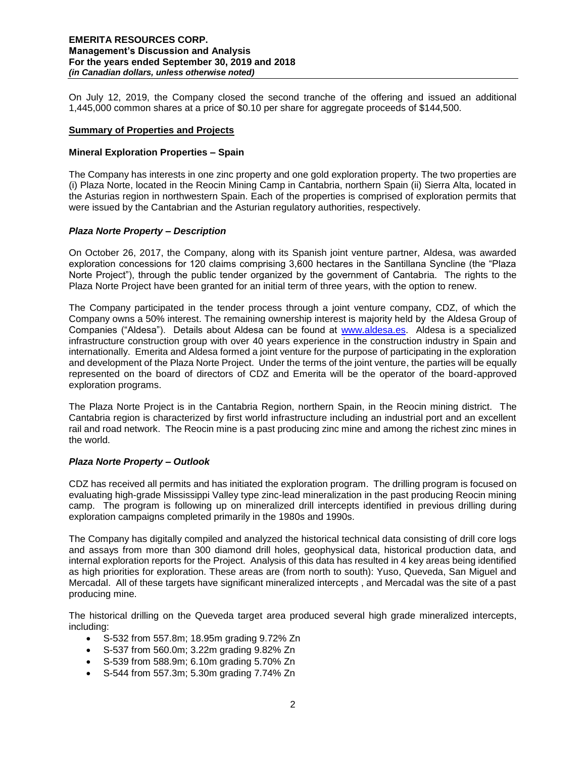On July 12, 2019, the Company closed the second tranche of the offering and issued an additional 1,445,000 common shares at a price of \$0.10 per share for aggregate proceeds of \$144,500.

### **Summary of Properties and Projects**

### **Mineral Exploration Properties – Spain**

The Company has interests in one zinc property and one gold exploration property. The two properties are (i) Plaza Norte, located in the Reocin Mining Camp in Cantabria, northern Spain (ii) Sierra Alta, located in the Asturias region in northwestern Spain. Each of the properties is comprised of exploration permits that were issued by the Cantabrian and the Asturian regulatory authorities, respectively.

### *Plaza Norte Property – Description*

On October 26, 2017, the Company, along with its Spanish joint venture partner, Aldesa, was awarded exploration concessions for 120 claims comprising 3,600 hectares in the Santillana Syncline (the "Plaza Norte Project"), through the public tender organized by the government of Cantabria. The rights to the Plaza Norte Project have been granted for an initial term of three years, with the option to renew.

The Company participated in the tender process through a joint venture company, CDZ, of which the Company owns a 50% interest. The remaining ownership interest is majority held by the Aldesa Group of Companies ("Aldesa"). Details about Aldesa can be found at [www.aldesa.es.](http://www.aldesa.es/) Aldesa is a specialized infrastructure construction group with over 40 years experience in the construction industry in Spain and internationally. Emerita and Aldesa formed a joint venture for the purpose of participating in the exploration and development of the Plaza Norte Project. Under the terms of the joint venture, the parties will be equally represented on the board of directors of CDZ and Emerita will be the operator of the board-approved exploration programs.

The Plaza Norte Project is in the Cantabria Region, northern Spain, in the Reocin mining district. The Cantabria region is characterized by first world infrastructure including an industrial port and an excellent rail and road network. The Reocin mine is a past producing zinc mine and among the richest zinc mines in the world.

### *Plaza Norte Property – Outlook*

CDZ has received all permits and has initiated the exploration program. The drilling program is focused on evaluating high-grade Mississippi Valley type zinc-lead mineralization in the past producing Reocin mining camp. The program is following up on mineralized drill intercepts identified in previous drilling during exploration campaigns completed primarily in the 1980s and 1990s.

The Company has digitally compiled and analyzed the historical technical data consisting of drill core logs and assays from more than 300 diamond drill holes, geophysical data, historical production data, and internal exploration reports for the Project. Analysis of this data has resulted in 4 key areas being identified as high priorities for exploration. These areas are (from north to south): Yuso, Queveda, San Miguel and Mercadal. All of these targets have significant mineralized intercepts , and Mercadal was the site of a past producing mine.

The historical drilling on the Queveda target area produced several high grade mineralized intercepts, including:

- S-532 from 557.8m; 18.95m grading 9.72% Zn
- S-537 from 560.0m; 3.22m grading 9.82% Zn
- S-539 from 588.9m; 6.10m grading 5.70% Zn
- S-544 from 557.3m; 5.30m grading 7.74% Zn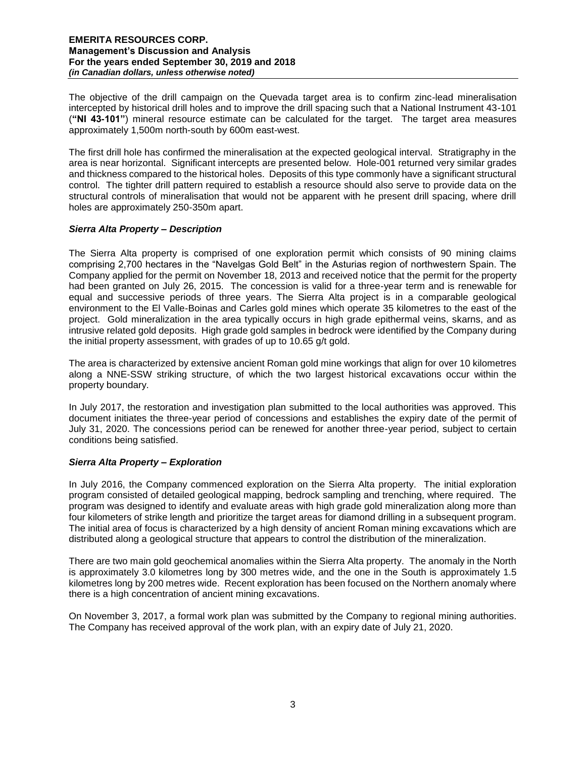The objective of the drill campaign on the Quevada target area is to confirm zinc-lead mineralisation intercepted by historical drill holes and to improve the drill spacing such that a National Instrument 43-101 (**"NI 43-101"**) mineral resource estimate can be calculated for the target. The target area measures approximately 1,500m north-south by 600m east-west.

The first drill hole has confirmed the mineralisation at the expected geological interval. Stratigraphy in the area is near horizontal. Significant intercepts are presented below. Hole-001 returned very similar grades and thickness compared to the historical holes. Deposits of this type commonly have a significant structural control. The tighter drill pattern required to establish a resource should also serve to provide data on the structural controls of mineralisation that would not be apparent with he present drill spacing, where drill holes are approximately 250-350m apart.

# *Sierra Alta Property – Description*

The Sierra Alta property is comprised of one exploration permit which consists of 90 mining claims comprising 2,700 hectares in the "Navelgas Gold Belt" in the Asturias region of northwestern Spain. The Company applied for the permit on November 18, 2013 and received notice that the permit for the property had been granted on July 26, 2015. The concession is valid for a three-year term and is renewable for equal and successive periods of three years. The Sierra Alta project is in a comparable geological environment to the El Valle-Boinas and Carles gold mines which operate 35 kilometres to the east of the project. Gold mineralization in the area typically occurs in high grade epithermal veins, skarns, and as intrusive related gold deposits. High grade gold samples in bedrock were identified by the Company during the initial property assessment, with grades of up to 10.65 g/t gold.

The area is characterized by extensive ancient Roman gold mine workings that align for over 10 kilometres along a NNE-SSW striking structure, of which the two largest historical excavations occur within the property boundary.

In July 2017, the restoration and investigation plan submitted to the local authorities was approved. This document initiates the three-year period of concessions and establishes the expiry date of the permit of July 31, 2020. The concessions period can be renewed for another three-year period, subject to certain conditions being satisfied.

# *Sierra Alta Property – Exploration*

In July 2016, the Company commenced exploration on the Sierra Alta property. The initial exploration program consisted of detailed geological mapping, bedrock sampling and trenching, where required. The program was designed to identify and evaluate areas with high grade gold mineralization along more than four kilometers of strike length and prioritize the target areas for diamond drilling in a subsequent program. The initial area of focus is characterized by a high density of ancient Roman mining excavations which are distributed along a geological structure that appears to control the distribution of the mineralization.

There are two main gold geochemical anomalies within the Sierra Alta property. The anomaly in the North is approximately 3.0 kilometres long by 300 metres wide, and the one in the South is approximately 1.5 kilometres long by 200 metres wide. Recent exploration has been focused on the Northern anomaly where there is a high concentration of ancient mining excavations.

On November 3, 2017, a formal work plan was submitted by the Company to regional mining authorities. The Company has received approval of the work plan, with an expiry date of July 21, 2020.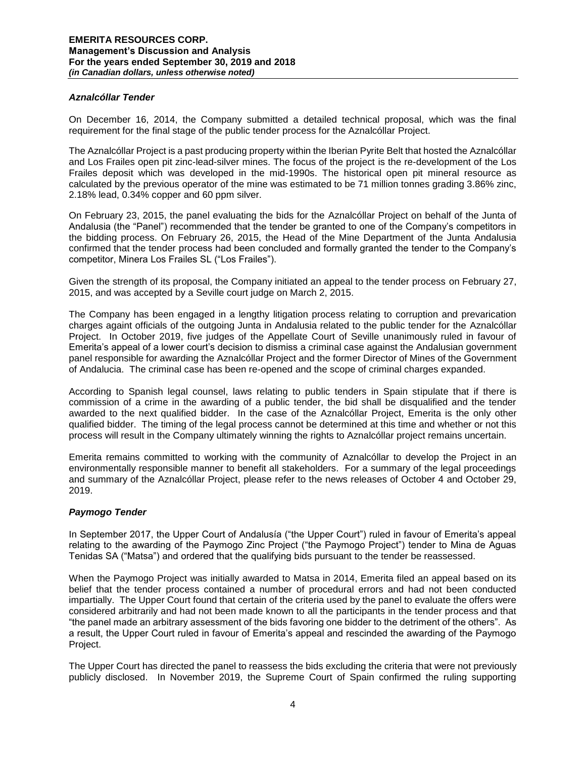## *Aznalcóllar Tender*

On December 16, 2014, the Company submitted a detailed technical proposal, which was the final requirement for the final stage of the public tender process for the Aznalcóllar Project.

The Aznalcóllar Project is a past producing property within the Iberian Pyrite Belt that hosted the Aznalcóllar and Los Frailes open pit zinc-lead-silver mines. The focus of the project is the re-development of the Los Frailes deposit which was developed in the mid-1990s. The historical open pit mineral resource as calculated by the previous operator of the mine was estimated to be 71 million tonnes grading 3.86% zinc, 2.18% lead, 0.34% copper and 60 ppm silver.

On February 23, 2015, the panel evaluating the bids for the Aznalcóllar Project on behalf of the Junta of Andalusia (the "Panel") recommended that the tender be granted to one of the Company's competitors in the bidding process. On February 26, 2015, the Head of the Mine Department of the Junta Andalusia confirmed that the tender process had been concluded and formally granted the tender to the Company's competitor, Minera Los Frailes SL ("Los Frailes").

Given the strength of its proposal, the Company initiated an appeal to the tender process on February 27, 2015, and was accepted by a Seville court judge on March 2, 2015.

The Company has been engaged in a lengthy litigation process relating to corruption and prevarication charges againt officials of the outgoing Junta in Andalusia related to the public tender for the Aznalcóllar Project. In October 2019, five judges of the Appellate Court of Seville unanimously ruled in favour of Emerita's appeal of a lower court's decision to dismiss a criminal case against the Andalusian government panel responsible for awarding the Aznalcóllar Project and the former Director of Mines of the Government of Andalucia. The criminal case has been re-opened and the scope of criminal charges expanded.

According to Spanish legal counsel, laws relating to public tenders in Spain stipulate that if there is commission of a crime in the awarding of a public tender, the bid shall be disqualified and the tender awarded to the next qualified bidder. In the case of the Aznalcóllar Project, Emerita is the only other qualified bidder. The timing of the legal process cannot be determined at this time and whether or not this process will result in the Company ultimately winning the rights to Aznalcóllar project remains uncertain.

Emerita remains committed to working with the community of Aznalcóllar to develop the Project in an environmentally responsible manner to benefit all stakeholders. For a summary of the legal proceedings and summary of the Aznalcóllar Project, please refer to the news releases of October 4 and October 29, 2019.

### *Paymogo Tender*

In September 2017, the Upper Court of Andalusía ("the Upper Court") ruled in favour of Emerita's appeal relating to the awarding of the Paymogo Zinc Project ("the Paymogo Project") tender to Mina de Aguas Tenidas SA ("Matsa") and ordered that the qualifying bids pursuant to the tender be reassessed.

When the Paymogo Project was initially awarded to Matsa in 2014, Emerita filed an appeal based on its belief that the tender process contained a number of procedural errors and had not been conducted impartially. The Upper Court found that certain of the criteria used by the panel to evaluate the offers were considered arbitrarily and had not been made known to all the participants in the tender process and that "the panel made an arbitrary assessment of the bids favoring one bidder to the detriment of the others". As a result, the Upper Court ruled in favour of Emerita's appeal and rescinded the awarding of the Paymogo Project.

The Upper Court has directed the panel to reassess the bids excluding the criteria that were not previously publicly disclosed. In November 2019, the Supreme Court of Spain confirmed the ruling supporting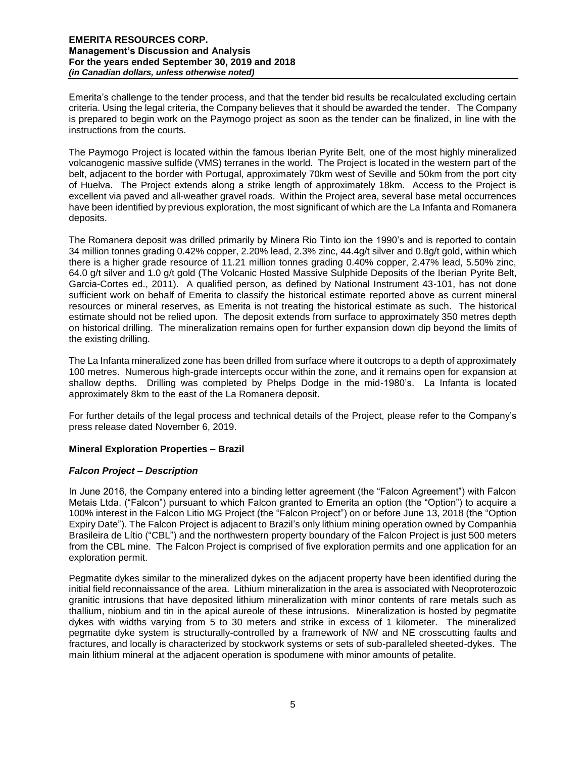Emerita's challenge to the tender process, and that the tender bid results be recalculated excluding certain criteria. Using the legal criteria, the Company believes that it should be awarded the tender. The Company is prepared to begin work on the Paymogo project as soon as the tender can be finalized, in line with the instructions from the courts.

The Paymogo Project is located within the famous Iberian Pyrite Belt, one of the most highly mineralized volcanogenic massive sulfide (VMS) terranes in the world. The Project is located in the western part of the belt, adjacent to the border with Portugal, approximately 70km west of Seville and 50km from the port city of Huelva. The Project extends along a strike length of approximately 18km. Access to the Project is excellent via paved and all-weather gravel roads. Within the Project area, several base metal occurrences have been identified by previous exploration, the most significant of which are the La Infanta and Romanera deposits.

The Romanera deposit was drilled primarily by Minera Rio Tinto ion the 1990's and is reported to contain 34 million tonnes grading 0.42% copper, 2.20% lead, 2.3% zinc, 44.4g/t silver and 0.8g/t gold, within which there is a higher grade resource of 11.21 million tonnes grading 0.40% copper, 2.47% lead, 5.50% zinc, 64.0 g/t silver and 1.0 g/t gold (The Volcanic Hosted Massive Sulphide Deposits of the Iberian Pyrite Belt, Garcia-Cortes ed., 2011). A qualified person, as defined by National Instrument 43-101, has not done sufficient work on behalf of Emerita to classify the historical estimate reported above as current mineral resources or mineral reserves, as Emerita is not treating the historical estimate as such. The historical estimate should not be relied upon. The deposit extends from surface to approximately 350 metres depth on historical drilling. The mineralization remains open for further expansion down dip beyond the limits of the existing drilling.

The La Infanta mineralized zone has been drilled from surface where it outcrops to a depth of approximately 100 metres. Numerous high-grade intercepts occur within the zone, and it remains open for expansion at shallow depths. Drilling was completed by Phelps Dodge in the mid-1980's. La Infanta is located approximately 8km to the east of the La Romanera deposit.

For further details of the legal process and technical details of the Project, please refer to the Company's press release dated November 6, 2019.

# **Mineral Exploration Properties – Brazil**

### *Falcon Project – Description*

In June 2016, the Company entered into a binding letter agreement (the "Falcon Agreement") with Falcon Metais Ltda. ("Falcon") pursuant to which Falcon granted to Emerita an option (the "Option") to acquire a 100% interest in the Falcon Litio MG Project (the "Falcon Project") on or before June 13, 2018 (the "Option Expiry Date"). The Falcon Project is adjacent to Brazil's only lithium mining operation owned by Companhia Brasileira de Lítio ("CBL") and the northwestern property boundary of the Falcon Project is just 500 meters from the CBL mine. The Falcon Project is comprised of five exploration permits and one application for an exploration permit.

Pegmatite dykes similar to the mineralized dykes on the adjacent property have been identified during the initial field reconnaissance of the area. Lithium mineralization in the area is associated with Neoproterozoic granitic intrusions that have deposited lithium mineralization with minor contents of rare metals such as thallium, niobium and tin in the apical aureole of these intrusions. Mineralization is hosted by pegmatite dykes with widths varying from 5 to 30 meters and strike in excess of 1 kilometer. The mineralized pegmatite dyke system is structurally-controlled by a framework of NW and NE crosscutting faults and fractures, and locally is characterized by stockwork systems or sets of sub-paralleled sheeted-dykes. The main lithium mineral at the adjacent operation is spodumene with minor amounts of petalite.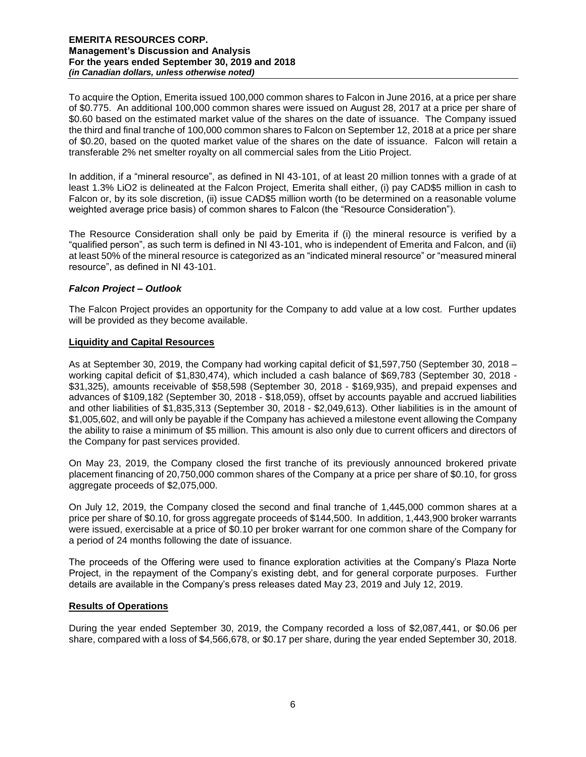To acquire the Option, Emerita issued 100,000 common shares to Falcon in June 2016, at a price per share of \$0.775. An additional 100,000 common shares were issued on August 28, 2017 at a price per share of \$0.60 based on the estimated market value of the shares on the date of issuance. The Company issued the third and final tranche of 100,000 common shares to Falcon on September 12, 2018 at a price per share of \$0.20, based on the quoted market value of the shares on the date of issuance. Falcon will retain a transferable 2% net smelter royalty on all commercial sales from the Litio Project.

In addition, if a "mineral resource", as defined in NI 43-101, of at least 20 million tonnes with a grade of at least 1.3% LiO2 is delineated at the Falcon Project, Emerita shall either, (i) pay CAD\$5 million in cash to Falcon or, by its sole discretion, (ii) issue CAD\$5 million worth (to be determined on a reasonable volume weighted average price basis) of common shares to Falcon (the "Resource Consideration").

The Resource Consideration shall only be paid by Emerita if (i) the mineral resource is verified by a "qualified person", as such term is defined in NI 43-101, who is independent of Emerita and Falcon, and (ii) at least 50% of the mineral resource is categorized as an "indicated mineral resource" or "measured mineral resource", as defined in NI 43-101.

# *Falcon Project – Outlook*

The Falcon Project provides an opportunity for the Company to add value at a low cost. Further updates will be provided as they become available.

# **Liquidity and Capital Resources**

As at September 30, 2019, the Company had working capital deficit of \$1,597,750 (September 30, 2018 – working capital deficit of \$1,830,474), which included a cash balance of \$69,783 (September 30, 2018 - \$31,325), amounts receivable of \$58,598 (September 30, 2018 - \$169,935), and prepaid expenses and advances of \$109,182 (September 30, 2018 - \$18,059), offset by accounts payable and accrued liabilities and other liabilities of \$1,835,313 (September 30, 2018 - \$2,049,613). Other liabilities is in the amount of \$1,005,602, and will only be payable if the Company has achieved a milestone event allowing the Company the ability to raise a minimum of \$5 million. This amount is also only due to current officers and directors of the Company for past services provided.

On May 23, 2019, the Company closed the first tranche of its previously announced brokered private placement financing of 20,750,000 common shares of the Company at a price per share of \$0.10, for gross aggregate proceeds of \$2,075,000.

On July 12, 2019, the Company closed the second and final tranche of 1,445,000 common shares at a price per share of \$0.10, for gross aggregate proceeds of \$144,500. In addition, 1,443,900 broker warrants were issued, exercisable at a price of \$0.10 per broker warrant for one common share of the Company for a period of 24 months following the date of issuance.

The proceeds of the Offering were used to finance exploration activities at the Company's Plaza Norte Project, in the repayment of the Company's existing debt, and for general corporate purposes. Further details are available in the Company's press releases dated May 23, 2019 and July 12, 2019.

### **Results of Operations**

During the year ended September 30, 2019, the Company recorded a loss of \$2,087,441, or \$0.06 per share, compared with a loss of \$4,566,678, or \$0.17 per share, during the year ended September 30, 2018.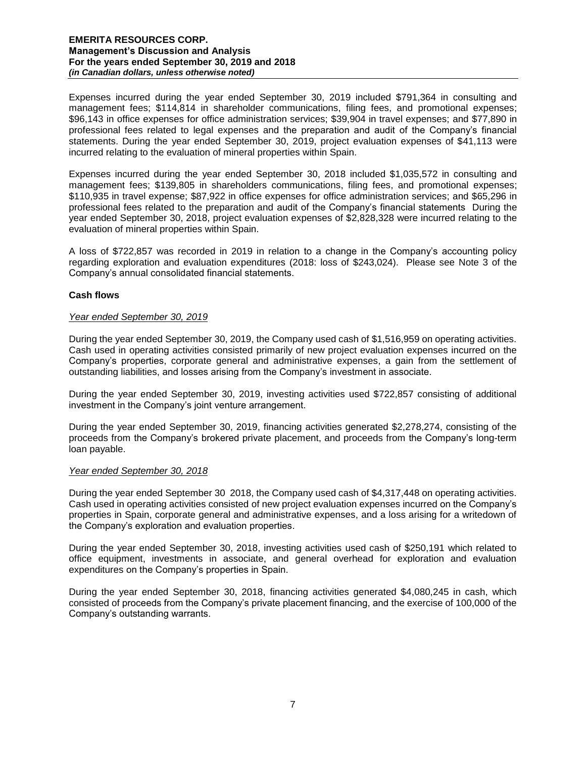Expenses incurred during the year ended September 30, 2019 included \$791,364 in consulting and management fees; \$114,814 in shareholder communications, filing fees, and promotional expenses; \$96,143 in office expenses for office administration services; \$39,904 in travel expenses; and \$77,890 in professional fees related to legal expenses and the preparation and audit of the Company's financial statements. During the year ended September 30, 2019, project evaluation expenses of \$41,113 were incurred relating to the evaluation of mineral properties within Spain.

Expenses incurred during the year ended September 30, 2018 included \$1,035,572 in consulting and management fees; \$139,805 in shareholders communications, filing fees, and promotional expenses; \$110,935 in travel expense; \$87,922 in office expenses for office administration services; and \$65,296 in professional fees related to the preparation and audit of the Company's financial statements During the year ended September 30, 2018, project evaluation expenses of \$2,828,328 were incurred relating to the evaluation of mineral properties within Spain.

A loss of \$722,857 was recorded in 2019 in relation to a change in the Company's accounting policy regarding exploration and evaluation expenditures (2018: loss of \$243,024). Please see Note 3 of the Company's annual consolidated financial statements.

# **Cash flows**

### *Year ended September 30, 2019*

During the year ended September 30, 2019, the Company used cash of \$1,516,959 on operating activities. Cash used in operating activities consisted primarily of new project evaluation expenses incurred on the Company's properties, corporate general and administrative expenses, a gain from the settlement of outstanding liabilities, and losses arising from the Company's investment in associate.

During the year ended September 30, 2019, investing activities used \$722,857 consisting of additional investment in the Company's joint venture arrangement.

During the year ended September 30, 2019, financing activities generated \$2,278,274, consisting of the proceeds from the Company's brokered private placement, and proceeds from the Company's long-term loan payable.

### *Year ended September 30, 2018*

During the year ended September 30 2018, the Company used cash of \$4,317,448 on operating activities. Cash used in operating activities consisted of new project evaluation expenses incurred on the Company's properties in Spain, corporate general and administrative expenses, and a loss arising for a writedown of the Company's exploration and evaluation properties.

During the year ended September 30, 2018, investing activities used cash of \$250,191 which related to office equipment, investments in associate, and general overhead for exploration and evaluation expenditures on the Company's properties in Spain.

During the year ended September 30, 2018, financing activities generated \$4,080,245 in cash, which consisted of proceeds from the Company's private placement financing, and the exercise of 100,000 of the Company's outstanding warrants.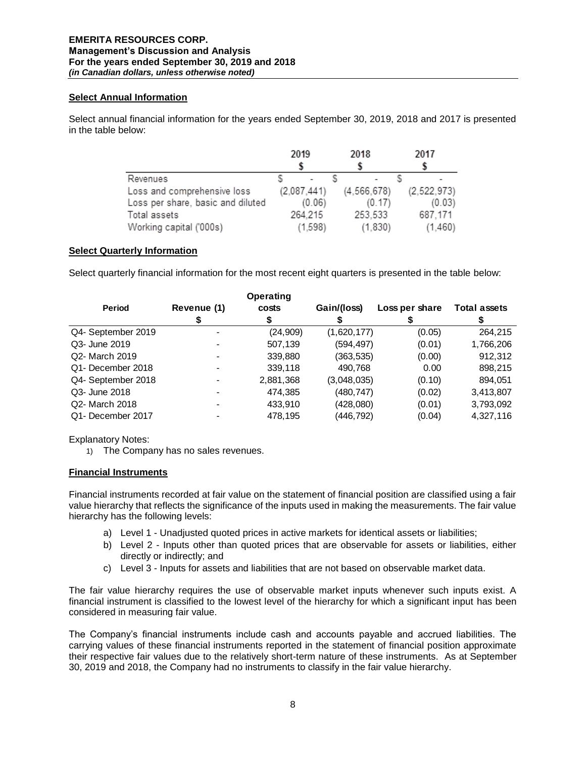## **Select Annual Information**

Select annual financial information for the years ended September 30, 2019, 2018 and 2017 is presented in the table below:

|                                   | 2019        | 2018          | 2017          |
|-----------------------------------|-------------|---------------|---------------|
|                                   |             |               |               |
| Revenues                          |             |               |               |
| Loss and comprehensive loss       | (2,087,441) | (4, 566, 678) | (2, 522, 973) |
| Loss per share, basic and diluted | (0.06)      | (0.17)        | (0.03)        |
| Total assets                      | 264,215     | 253,533       | 687,171       |
| Working capital ('000s)           | (1,598)     | (1,830)       | (1,460)       |

# **Select Quarterly Information**

Select quarterly financial information for the most recent eight quarters is presented in the table below:

|                    |             | Operating |             |                |                     |
|--------------------|-------------|-----------|-------------|----------------|---------------------|
| <b>Period</b>      | Revenue (1) | costs     | Gain/(loss) | Loss per share | <b>Total assets</b> |
|                    |             | Эb        |             |                |                     |
| Q4- September 2019 |             | (24, 909) | (1,620,177) | (0.05)         | 264.215             |
| Q3- June 2019      |             | 507,139   | (594, 497)  | (0.01)         | 1,766,206           |
| Q2- March 2019     |             | 339,880   | (363, 535)  | (0.00)         | 912,312             |
| Q1- December 2018  |             | 339,118   | 490,768     | 0.00           | 898,215             |
| Q4- September 2018 |             | 2,881,368 | (3,048,035) | (0.10)         | 894,051             |
| Q3- June 2018      |             | 474.385   | (480, 747)  | (0.02)         | 3,413,807           |
| Q2- March 2018     |             | 433,910   | (428,080)   | (0.01)         | 3,793,092           |
| Q1- December 2017  |             | 478,195   | (446, 792)  | (0.04)         | 4,327,116           |

Explanatory Notes:

1) The Company has no sales revenues.

## **Financial Instruments**

Financial instruments recorded at fair value on the statement of financial position are classified using a fair value hierarchy that reflects the significance of the inputs used in making the measurements. The fair value hierarchy has the following levels:

- a) Level 1 Unadjusted quoted prices in active markets for identical assets or liabilities;
- b) Level 2 Inputs other than quoted prices that are observable for assets or liabilities, either directly or indirectly; and
- c) Level 3 Inputs for assets and liabilities that are not based on observable market data.

The fair value hierarchy requires the use of observable market inputs whenever such inputs exist. A financial instrument is classified to the lowest level of the hierarchy for which a significant input has been considered in measuring fair value.

The Company's financial instruments include cash and accounts payable and accrued liabilities. The carrying values of these financial instruments reported in the statement of financial position approximate their respective fair values due to the relatively short-term nature of these instruments. As at September 30, 2019 and 2018, the Company had no instruments to classify in the fair value hierarchy.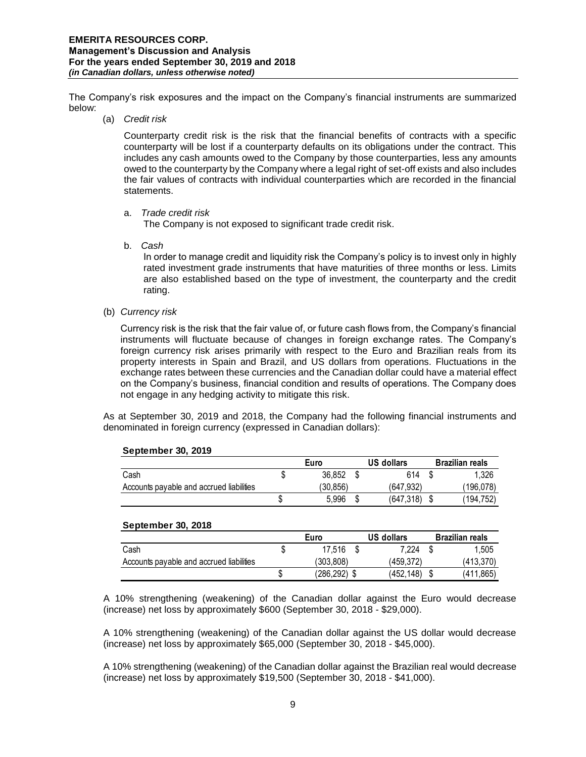The Company's risk exposures and the impact on the Company's financial instruments are summarized below:

(a) *Credit risk* 

Counterparty credit risk is the risk that the financial benefits of contracts with a specific counterparty will be lost if a counterparty defaults on its obligations under the contract. This includes any cash amounts owed to the Company by those counterparties, less any amounts owed to the counterparty by the Company where a legal right of set-off exists and also includes the fair values of contracts with individual counterparties which are recorded in the financial statements.

a. *Trade credit risk*

The Company is not exposed to significant trade credit risk.

b. *Cash* 

In order to manage credit and liquidity risk the Company's policy is to invest only in highly rated investment grade instruments that have maturities of three months or less. Limits are also established based on the type of investment, the counterparty and the credit rating.

(b) *Currency risk* 

Currency risk is the risk that the fair value of, or future cash flows from, the Company's financial instruments will fluctuate because of changes in foreign exchange rates. The Company's foreign currency risk arises primarily with respect to the Euro and Brazilian reals from its property interests in Spain and Brazil, and US dollars from operations. Fluctuations in the exchange rates between these currencies and the Canadian dollar could have a material effect on the Company's business, financial condition and results of operations. The Company does not engage in any hedging activity to mitigate this risk.

As at September 30, 2019 and 2018, the Company had the following financial instruments and denominated in foreign currency (expressed in Canadian dollars):

|                                          | Euro |          | US dollars |           | <b>Brazilian reals</b> |           |
|------------------------------------------|------|----------|------------|-----------|------------------------|-----------|
| Cash                                     | S    | 36.852   |            | 614       |                        | 1.326     |
| Accounts payable and accrued liabilities |      | (30.856) |            | (647.932) |                        | (196,078) |
|                                          |      | 5.996    |            | (647,318) |                        | (194,752) |

#### **September 30, 2019**

### **September 30, 2018**

|                                          |    | Euro      | US dollars | <b>Brazilian reals</b> |
|------------------------------------------|----|-----------|------------|------------------------|
| Cash                                     |    | 17.516    | 7.224      | 1.505                  |
| Accounts payable and accrued liabilities |    | (303.808) | (459.372)  | (413.370)              |
|                                          | ۰D | (286.292) | (452.148)  | (411,865)              |

A 10% strengthening (weakening) of the Canadian dollar against the Euro would decrease (increase) net loss by approximately \$600 (September 30, 2018 - \$29,000).

A 10% strengthening (weakening) of the Canadian dollar against the US dollar would decrease (increase) net loss by approximately \$65,000 (September 30, 2018 - \$45,000).

A 10% strengthening (weakening) of the Canadian dollar against the Brazilian real would decrease (increase) net loss by approximately \$19,500 (September 30, 2018 - \$41,000).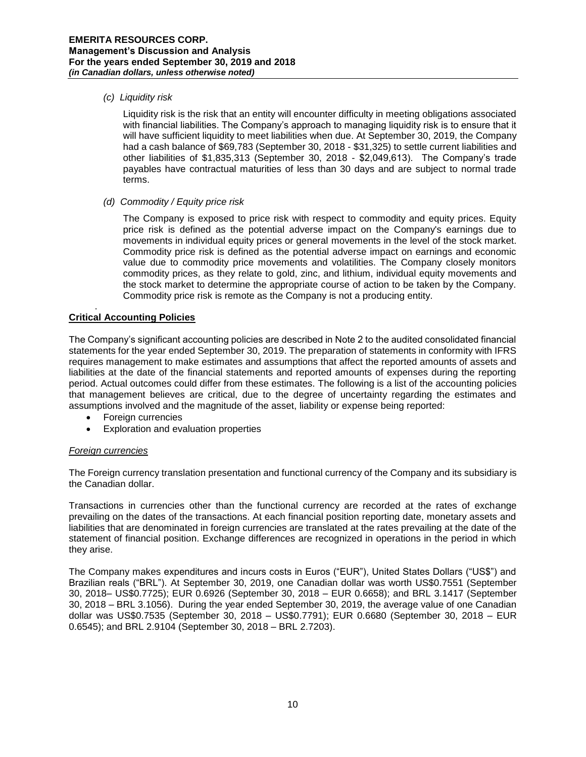## *(c) Liquidity risk*

Liquidity risk is the risk that an entity will encounter difficulty in meeting obligations associated with financial liabilities. The Company's approach to managing liquidity risk is to ensure that it will have sufficient liquidity to meet liabilities when due. At September 30, 2019, the Company had a cash balance of \$69,783 (September 30, 2018 - \$31,325) to settle current liabilities and other liabilities of \$1,835,313 (September 30, 2018 - \$2,049,613). The Company's trade payables have contractual maturities of less than 30 days and are subject to normal trade terms.

### *(d) Commodity / Equity price risk*

The Company is exposed to price risk with respect to commodity and equity prices. Equity price risk is defined as the potential adverse impact on the Company's earnings due to movements in individual equity prices or general movements in the level of the stock market. Commodity price risk is defined as the potential adverse impact on earnings and economic value due to commodity price movements and volatilities. The Company closely monitors commodity prices, as they relate to gold, zinc, and lithium, individual equity movements and the stock market to determine the appropriate course of action to be taken by the Company. Commodity price risk is remote as the Company is not a producing entity.

#### . **Critical Accounting Policies**

The Company's significant accounting policies are described in Note 2 to the audited consolidated financial statements for the year ended September 30, 2019. The preparation of statements in conformity with IFRS requires management to make estimates and assumptions that affect the reported amounts of assets and liabilities at the date of the financial statements and reported amounts of expenses during the reporting period. Actual outcomes could differ from these estimates. The following is a list of the accounting policies that management believes are critical, due to the degree of uncertainty regarding the estimates and assumptions involved and the magnitude of the asset, liability or expense being reported:

- Foreign currencies
- Exploration and evaluation properties

### *Foreign currencies*

The Foreign currency translation presentation and functional currency of the Company and its subsidiary is the Canadian dollar.

Transactions in currencies other than the functional currency are recorded at the rates of exchange prevailing on the dates of the transactions. At each financial position reporting date, monetary assets and liabilities that are denominated in foreign currencies are translated at the rates prevailing at the date of the statement of financial position. Exchange differences are recognized in operations in the period in which they arise.

The Company makes expenditures and incurs costs in Euros ("EUR"), United States Dollars ("US\$") and Brazilian reals ("BRL"). At September 30, 2019, one Canadian dollar was worth US\$0.7551 (September 30, 2018– US\$0.7725); EUR 0.6926 (September 30, 2018 – EUR 0.6658); and BRL 3.1417 (September 30, 2018 – BRL 3.1056). During the year ended September 30, 2019, the average value of one Canadian dollar was US\$0.7535 (September 30, 2018 – US\$0.7791); EUR 0.6680 (September 30, 2018 – EUR 0.6545); and BRL 2.9104 (September 30, 2018 – BRL 2.7203).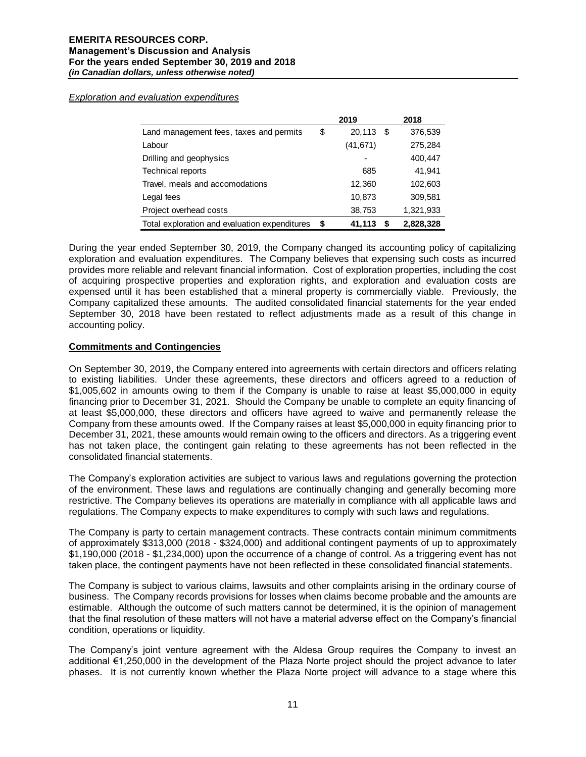*Exploration and evaluation expenditures*

|                                               |      | 2019           | 2018      |
|-----------------------------------------------|------|----------------|-----------|
| Land management fees, taxes and permits       | \$   | 20,113<br>- \$ | 376,539   |
| Labour                                        |      | (41, 671)      | 275,284   |
| Drilling and geophysics                       |      |                | 400,447   |
| <b>Technical reports</b>                      |      | 685            | 41.941    |
| Travel, meals and accomodations               |      | 12,360         | 102,603   |
| Legal fees                                    |      | 10,873         | 309,581   |
| Project overhead costs                        |      | 38,753         | 1,321,933 |
| Total exploration and evaluation expenditures | - \$ | 41,113<br>S    | 2,828,328 |

During the year ended September 30, 2019, the Company changed its accounting policy of capitalizing exploration and evaluation expenditures. The Company believes that expensing such costs as incurred provides more reliable and relevant financial information. Cost of exploration properties, including the cost of acquiring prospective properties and exploration rights, and exploration and evaluation costs are expensed until it has been established that a mineral property is commercially viable. Previously, the Company capitalized these amounts. The audited consolidated financial statements for the year ended September 30, 2018 have been restated to reflect adjustments made as a result of this change in accounting policy.

# **Commitments and Contingencies**

On September 30, 2019, the Company entered into agreements with certain directors and officers relating to existing liabilities. Under these agreements, these directors and officers agreed to a reduction of \$1,005,602 in amounts owing to them if the Company is unable to raise at least \$5,000,000 in equity financing prior to December 31, 2021. Should the Company be unable to complete an equity financing of at least \$5,000,000, these directors and officers have agreed to waive and permanently release the Company from these amounts owed. If the Company raises at least \$5,000,000 in equity financing prior to December 31, 2021, these amounts would remain owing to the officers and directors. As a triggering event has not taken place, the contingent gain relating to these agreements has not been reflected in the consolidated financial statements.

The Company's exploration activities are subject to various laws and regulations governing the protection of the environment. These laws and regulations are continually changing and generally becoming more restrictive. The Company believes its operations are materially in compliance with all applicable laws and regulations. The Company expects to make expenditures to comply with such laws and regulations.

The Company is party to certain management contracts. These contracts contain minimum commitments of approximately \$313,000 (2018 - \$324,000) and additional contingent payments of up to approximately \$1,190,000 (2018 - \$1,234,000) upon the occurrence of a change of control. As a triggering event has not taken place, the contingent payments have not been reflected in these consolidated financial statements.

The Company is subject to various claims, lawsuits and other complaints arising in the ordinary course of business. The Company records provisions for losses when claims become probable and the amounts are estimable. Although the outcome of such matters cannot be determined, it is the opinion of management that the final resolution of these matters will not have a material adverse effect on the Company's financial condition, operations or liquidity.

The Company's joint venture agreement with the Aldesa Group requires the Company to invest an additional €1,250,000 in the development of the Plaza Norte project should the project advance to later phases. It is not currently known whether the Plaza Norte project will advance to a stage where this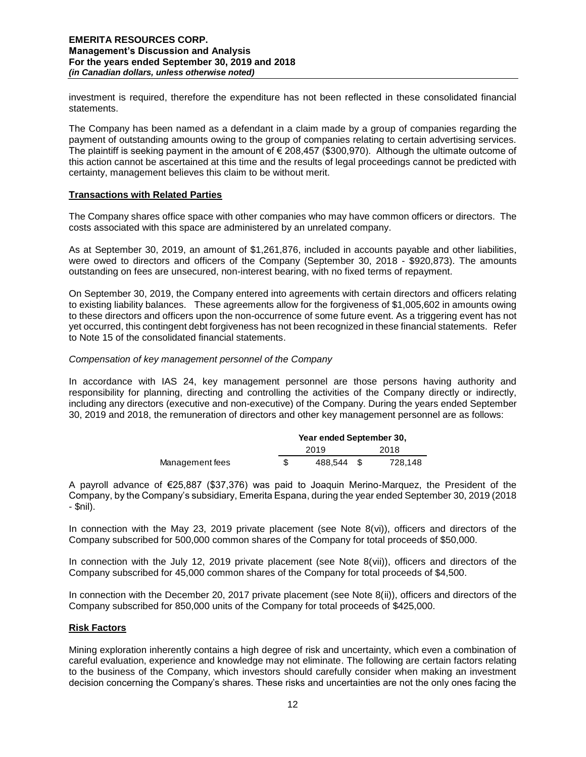investment is required, therefore the expenditure has not been reflected in these consolidated financial statements.

The Company has been named as a defendant in a claim made by a group of companies regarding the payment of outstanding amounts owing to the group of companies relating to certain advertising services. The plaintiff is seeking payment in the amount of  $\epsilon$  208,457 (\$300,970). Although the ultimate outcome of this action cannot be ascertained at this time and the results of legal proceedings cannot be predicted with certainty, management believes this claim to be without merit.

### **Transactions with Related Parties**

The Company shares office space with other companies who may have common officers or directors. The costs associated with this space are administered by an unrelated company.

As at September 30, 2019, an amount of \$1,261,876, included in accounts payable and other liabilities, were owed to directors and officers of the Company (September 30, 2018 - \$920,873). The amounts outstanding on fees are unsecured, non-interest bearing, with no fixed terms of repayment.

On September 30, 2019, the Company entered into agreements with certain directors and officers relating to existing liability balances. These agreements allow for the forgiveness of \$1,005,602 in amounts owing to these directors and officers upon the non-occurrence of some future event. As a triggering event has not yet occurred, this contingent debt forgiveness has not been recognized in these financial statements. Refer to Note 15 of the consolidated financial statements.

# *Compensation of key management personnel of the Company*

In accordance with IAS 24, key management personnel are those persons having authority and responsibility for planning, directing and controlling the activities of the Company directly or indirectly, including any directors (executive and non-executive) of the Company. During the years ended September 30, 2019 and 2018, the remuneration of directors and other key management personnel are as follows:

|                 | Year ended September 30, |      |         |  |  |  |
|-----------------|--------------------------|------|---------|--|--|--|
|                 | 2019                     | 2018 |         |  |  |  |
| Management fees | 488.544                  |      | 728.148 |  |  |  |

A payroll advance of €25,887 (\$37,376) was paid to Joaquin Merino-Marquez, the President of the Company, by the Company's subsidiary, Emerita Espana, during the year ended September 30, 2019 (2018 - \$nil).

In connection with the May 23, 2019 private placement (see Note  $8(vi)$ ), officers and directors of the Company subscribed for 500,000 common shares of the Company for total proceeds of \$50,000.

In connection with the July 12, 2019 private placement (see Note 8(vii)), officers and directors of the Company subscribed for 45,000 common shares of the Company for total proceeds of \$4,500.

In connection with the December 20, 2017 private placement (see Note 8(ii)), officers and directors of the Company subscribed for 850,000 units of the Company for total proceeds of \$425,000.

### **Risk Factors**

Mining exploration inherently contains a high degree of risk and uncertainty, which even a combination of careful evaluation, experience and knowledge may not eliminate. The following are certain factors relating to the business of the Company, which investors should carefully consider when making an investment decision concerning the Company's shares. These risks and uncertainties are not the only ones facing the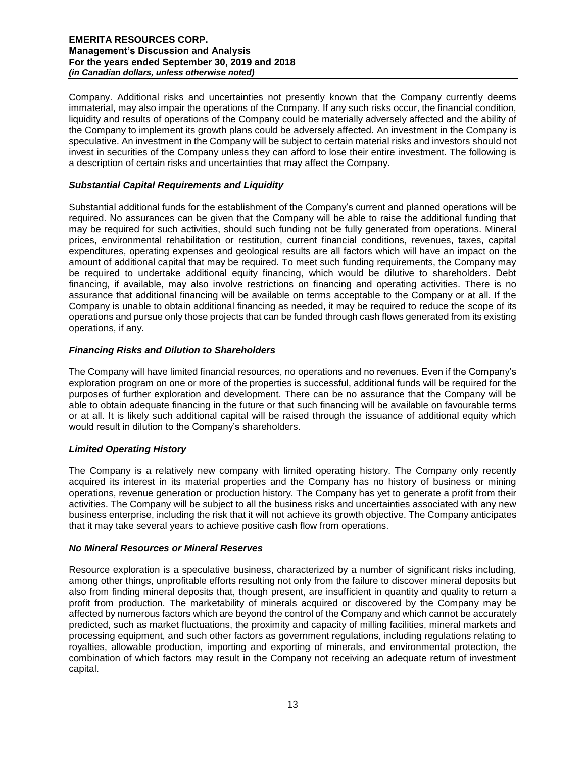Company. Additional risks and uncertainties not presently known that the Company currently deems immaterial, may also impair the operations of the Company. If any such risks occur, the financial condition, liquidity and results of operations of the Company could be materially adversely affected and the ability of the Company to implement its growth plans could be adversely affected. An investment in the Company is speculative. An investment in the Company will be subject to certain material risks and investors should not invest in securities of the Company unless they can afford to lose their entire investment. The following is a description of certain risks and uncertainties that may affect the Company.

# *Substantial Capital Requirements and Liquidity*

Substantial additional funds for the establishment of the Company's current and planned operations will be required. No assurances can be given that the Company will be able to raise the additional funding that may be required for such activities, should such funding not be fully generated from operations. Mineral prices, environmental rehabilitation or restitution, current financial conditions, revenues, taxes, capital expenditures, operating expenses and geological results are all factors which will have an impact on the amount of additional capital that may be required. To meet such funding requirements, the Company may be required to undertake additional equity financing, which would be dilutive to shareholders. Debt financing, if available, may also involve restrictions on financing and operating activities. There is no assurance that additional financing will be available on terms acceptable to the Company or at all. If the Company is unable to obtain additional financing as needed, it may be required to reduce the scope of its operations and pursue only those projects that can be funded through cash flows generated from its existing operations, if any.

# *Financing Risks and Dilution to Shareholders*

The Company will have limited financial resources, no operations and no revenues. Even if the Company's exploration program on one or more of the properties is successful, additional funds will be required for the purposes of further exploration and development. There can be no assurance that the Company will be able to obtain adequate financing in the future or that such financing will be available on favourable terms or at all. It is likely such additional capital will be raised through the issuance of additional equity which would result in dilution to the Company's shareholders.

# *Limited Operating History*

The Company is a relatively new company with limited operating history. The Company only recently acquired its interest in its material properties and the Company has no history of business or mining operations, revenue generation or production history. The Company has yet to generate a profit from their activities. The Company will be subject to all the business risks and uncertainties associated with any new business enterprise, including the risk that it will not achieve its growth objective. The Company anticipates that it may take several years to achieve positive cash flow from operations.

### *No Mineral Resources or Mineral Reserves*

Resource exploration is a speculative business, characterized by a number of significant risks including, among other things, unprofitable efforts resulting not only from the failure to discover mineral deposits but also from finding mineral deposits that, though present, are insufficient in quantity and quality to return a profit from production. The marketability of minerals acquired or discovered by the Company may be affected by numerous factors which are beyond the control of the Company and which cannot be accurately predicted, such as market fluctuations, the proximity and capacity of milling facilities, mineral markets and processing equipment, and such other factors as government regulations, including regulations relating to royalties, allowable production, importing and exporting of minerals, and environmental protection, the combination of which factors may result in the Company not receiving an adequate return of investment capital.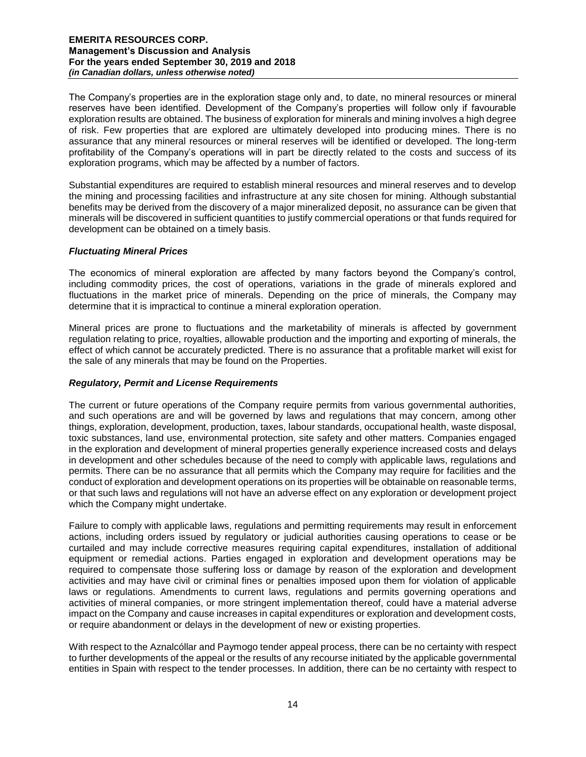The Company's properties are in the exploration stage only and, to date, no mineral resources or mineral reserves have been identified. Development of the Company's properties will follow only if favourable exploration results are obtained. The business of exploration for minerals and mining involves a high degree of risk. Few properties that are explored are ultimately developed into producing mines. There is no assurance that any mineral resources or mineral reserves will be identified or developed. The long-term profitability of the Company's operations will in part be directly related to the costs and success of its exploration programs, which may be affected by a number of factors.

Substantial expenditures are required to establish mineral resources and mineral reserves and to develop the mining and processing facilities and infrastructure at any site chosen for mining. Although substantial benefits may be derived from the discovery of a major mineralized deposit, no assurance can be given that minerals will be discovered in sufficient quantities to justify commercial operations or that funds required for development can be obtained on a timely basis.

### *Fluctuating Mineral Prices*

The economics of mineral exploration are affected by many factors beyond the Company's control, including commodity prices, the cost of operations, variations in the grade of minerals explored and fluctuations in the market price of minerals. Depending on the price of minerals, the Company may determine that it is impractical to continue a mineral exploration operation.

Mineral prices are prone to fluctuations and the marketability of minerals is affected by government regulation relating to price, royalties, allowable production and the importing and exporting of minerals, the effect of which cannot be accurately predicted. There is no assurance that a profitable market will exist for the sale of any minerals that may be found on the Properties.

## *Regulatory, Permit and License Requirements*

The current or future operations of the Company require permits from various governmental authorities, and such operations are and will be governed by laws and regulations that may concern, among other things, exploration, development, production, taxes, labour standards, occupational health, waste disposal, toxic substances, land use, environmental protection, site safety and other matters. Companies engaged in the exploration and development of mineral properties generally experience increased costs and delays in development and other schedules because of the need to comply with applicable laws, regulations and permits. There can be no assurance that all permits which the Company may require for facilities and the conduct of exploration and development operations on its properties will be obtainable on reasonable terms, or that such laws and regulations will not have an adverse effect on any exploration or development project which the Company might undertake.

Failure to comply with applicable laws, regulations and permitting requirements may result in enforcement actions, including orders issued by regulatory or judicial authorities causing operations to cease or be curtailed and may include corrective measures requiring capital expenditures, installation of additional equipment or remedial actions. Parties engaged in exploration and development operations may be required to compensate those suffering loss or damage by reason of the exploration and development activities and may have civil or criminal fines or penalties imposed upon them for violation of applicable laws or regulations. Amendments to current laws, regulations and permits governing operations and activities of mineral companies, or more stringent implementation thereof, could have a material adverse impact on the Company and cause increases in capital expenditures or exploration and development costs, or require abandonment or delays in the development of new or existing properties.

With respect to the Aznalcóllar and Paymogo tender appeal process, there can be no certainty with respect to further developments of the appeal or the results of any recourse initiated by the applicable governmental entities in Spain with respect to the tender processes. In addition, there can be no certainty with respect to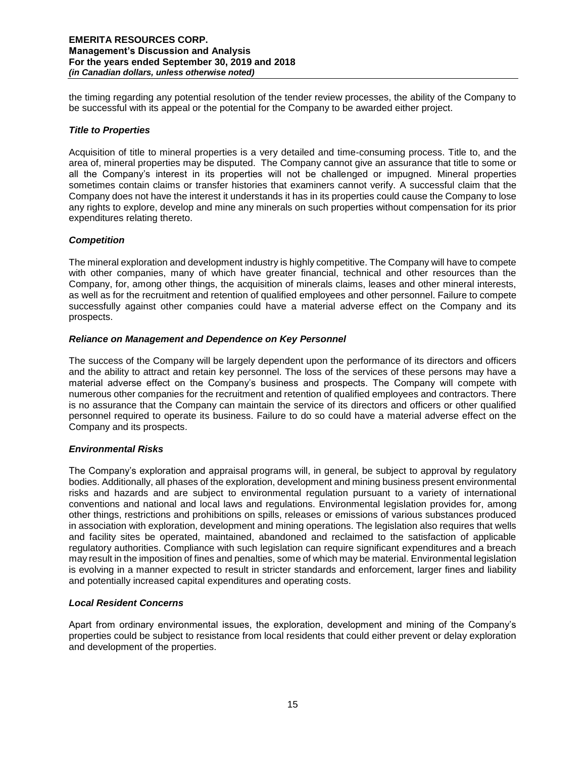the timing regarding any potential resolution of the tender review processes, the ability of the Company to be successful with its appeal or the potential for the Company to be awarded either project.

## *Title to Properties*

Acquisition of title to mineral properties is a very detailed and time-consuming process. Title to, and the area of, mineral properties may be disputed. The Company cannot give an assurance that title to some or all the Company's interest in its properties will not be challenged or impugned. Mineral properties sometimes contain claims or transfer histories that examiners cannot verify. A successful claim that the Company does not have the interest it understands it has in its properties could cause the Company to lose any rights to explore, develop and mine any minerals on such properties without compensation for its prior expenditures relating thereto.

# *Competition*

The mineral exploration and development industry is highly competitive. The Company will have to compete with other companies, many of which have greater financial, technical and other resources than the Company, for, among other things, the acquisition of minerals claims, leases and other mineral interests, as well as for the recruitment and retention of qualified employees and other personnel. Failure to compete successfully against other companies could have a material adverse effect on the Company and its prospects.

# *Reliance on Management and Dependence on Key Personnel*

The success of the Company will be largely dependent upon the performance of its directors and officers and the ability to attract and retain key personnel. The loss of the services of these persons may have a material adverse effect on the Company's business and prospects. The Company will compete with numerous other companies for the recruitment and retention of qualified employees and contractors. There is no assurance that the Company can maintain the service of its directors and officers or other qualified personnel required to operate its business. Failure to do so could have a material adverse effect on the Company and its prospects.

# *Environmental Risks*

The Company's exploration and appraisal programs will, in general, be subject to approval by regulatory bodies. Additionally, all phases of the exploration, development and mining business present environmental risks and hazards and are subject to environmental regulation pursuant to a variety of international conventions and national and local laws and regulations. Environmental legislation provides for, among other things, restrictions and prohibitions on spills, releases or emissions of various substances produced in association with exploration, development and mining operations. The legislation also requires that wells and facility sites be operated, maintained, abandoned and reclaimed to the satisfaction of applicable regulatory authorities. Compliance with such legislation can require significant expenditures and a breach may result in the imposition of fines and penalties, some of which may be material. Environmental legislation is evolving in a manner expected to result in stricter standards and enforcement, larger fines and liability and potentially increased capital expenditures and operating costs.

### *Local Resident Concerns*

Apart from ordinary environmental issues, the exploration, development and mining of the Company's properties could be subject to resistance from local residents that could either prevent or delay exploration and development of the properties.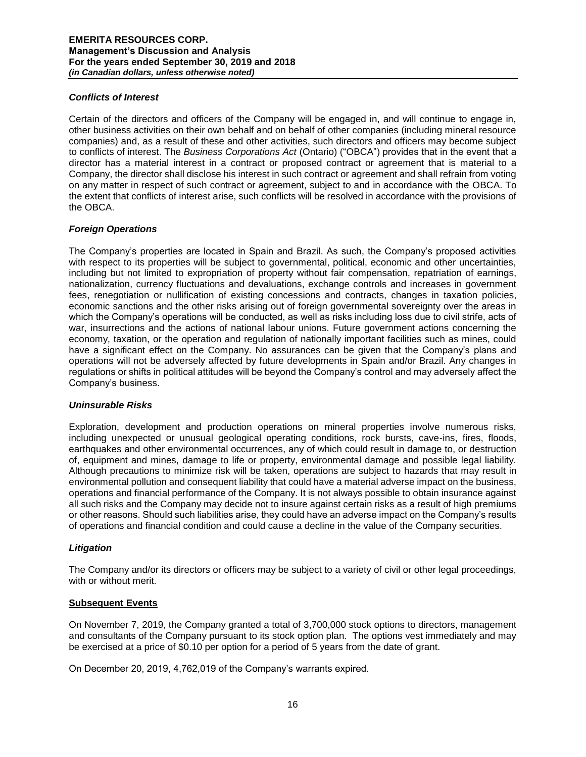## *Conflicts of Interest*

Certain of the directors and officers of the Company will be engaged in, and will continue to engage in, other business activities on their own behalf and on behalf of other companies (including mineral resource companies) and, as a result of these and other activities, such directors and officers may become subject to conflicts of interest. The *Business Corporations Act* (Ontario) ("OBCA") provides that in the event that a director has a material interest in a contract or proposed contract or agreement that is material to a Company, the director shall disclose his interest in such contract or agreement and shall refrain from voting on any matter in respect of such contract or agreement, subject to and in accordance with the OBCA. To the extent that conflicts of interest arise, such conflicts will be resolved in accordance with the provisions of the OBCA.

# *Foreign Operations*

The Company's properties are located in Spain and Brazil. As such, the Company's proposed activities with respect to its properties will be subject to governmental, political, economic and other uncertainties, including but not limited to expropriation of property without fair compensation, repatriation of earnings, nationalization, currency fluctuations and devaluations, exchange controls and increases in government fees, renegotiation or nullification of existing concessions and contracts, changes in taxation policies, economic sanctions and the other risks arising out of foreign governmental sovereignty over the areas in which the Company's operations will be conducted, as well as risks including loss due to civil strife, acts of war, insurrections and the actions of national labour unions. Future government actions concerning the economy, taxation, or the operation and regulation of nationally important facilities such as mines, could have a significant effect on the Company. No assurances can be given that the Company's plans and operations will not be adversely affected by future developments in Spain and/or Brazil. Any changes in regulations or shifts in political attitudes will be beyond the Company's control and may adversely affect the Company's business.

### *Uninsurable Risks*

Exploration, development and production operations on mineral properties involve numerous risks, including unexpected or unusual geological operating conditions, rock bursts, cave-ins, fires, floods, earthquakes and other environmental occurrences, any of which could result in damage to, or destruction of, equipment and mines, damage to life or property, environmental damage and possible legal liability. Although precautions to minimize risk will be taken, operations are subject to hazards that may result in environmental pollution and consequent liability that could have a material adverse impact on the business, operations and financial performance of the Company. It is not always possible to obtain insurance against all such risks and the Company may decide not to insure against certain risks as a result of high premiums or other reasons. Should such liabilities arise, they could have an adverse impact on the Company's results of operations and financial condition and could cause a decline in the value of the Company securities.

### *Litigation*

The Company and/or its directors or officers may be subject to a variety of civil or other legal proceedings, with or without merit.

### **Subsequent Events**

On November 7, 2019, the Company granted a total of 3,700,000 stock options to directors, management and consultants of the Company pursuant to its stock option plan. The options vest immediately and may be exercised at a price of \$0.10 per option for a period of 5 years from the date of grant.

On December 20, 2019, 4,762,019 of the Company's warrants expired.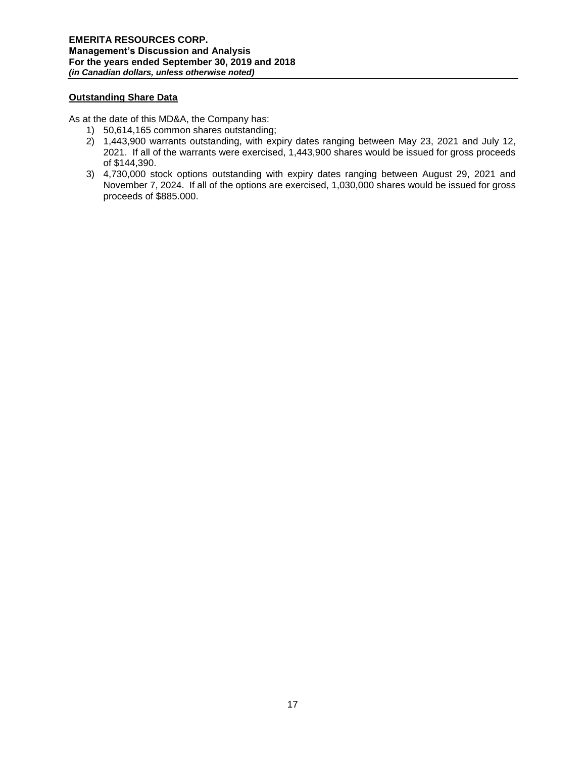## **Outstanding Share Data**

As at the date of this MD&A, the Company has:

- 1) 50,614,165 common shares outstanding;
- 2) 1,443,900 warrants outstanding, with expiry dates ranging between May 23, 2021 and July 12, 2021. If all of the warrants were exercised, 1,443,900 shares would be issued for gross proceeds of \$144,390.
- 3) 4,730,000 stock options outstanding with expiry dates ranging between August 29, 2021 and November 7, 2024. If all of the options are exercised, 1,030,000 shares would be issued for gross proceeds of \$885.000.